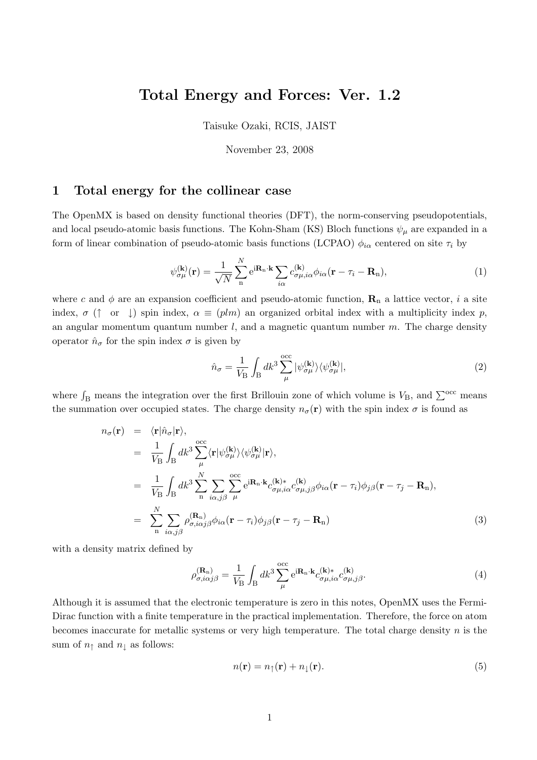# **Total Energy and Forces: Ver. 1.2**

Taisuke Ozaki, RCIS, JAIST

November 23, 2008

### **1 Total energy for the collinear case**

The OpenMX is based on density functional theories (DFT), the norm-conserving pseudopotentials, and local pseudo-atomic basis functions. The Kohn-Sham (KS) Bloch functions  $\psi_{\mu}$  are expanded in a form of linear combination of pseudo-atomic basis functions (LCPAO)  $\phi_{i\alpha}$  centered on site  $\tau_i$  by

$$
\psi_{\sigma\mu}^{(\mathbf{k})}(\mathbf{r}) = \frac{1}{\sqrt{N}} \sum_{n}^{N} e^{i\mathbf{R}_{n}\cdot\mathbf{k}} \sum_{i\alpha} c_{\sigma\mu,i\alpha}^{(\mathbf{k})} \phi_{i\alpha}(\mathbf{r} - \tau_{i} - \mathbf{R}_{n}),
$$
\n(1)

where c and  $\phi$  are an expansion coefficient and pseudo-atomic function,  $\mathbf{R}_n$  a lattice vector, *i* a site index,  $\sigma$  ( $\uparrow$  or  $\downarrow$ ) spin index,  $\alpha \equiv (plm)$  an organized orbital index with a multiplicity index *p*, an angular momentum quantum number *l*, and a magnetic quantum number *m*. The charge density operator  $\hat{n}_{\sigma}$  for the spin index  $\sigma$  is given by

$$
\hat{n}_{\sigma} = \frac{1}{V_{\rm B}} \int_{\rm B} dk^3 \sum_{\mu}^{\rm occ} |\psi_{\sigma\mu}^{(\mathbf{k})}\rangle\langle\psi_{\sigma\mu}^{(\mathbf{k})}|,\tag{2}
$$

where  $\int_B$  means the integration over the first Brillouin zone of which volume is  $V_B$ , and  $\sum^{occ}$  means the summation over occupied states. The charge density  $n_{\sigma}(\mathbf{r})$  with the spin index  $\sigma$  is found as

$$
n_{\sigma}(\mathbf{r}) = \langle \mathbf{r} | \hat{n}_{\sigma} | \mathbf{r} \rangle,
$$
  
\n
$$
= \frac{1}{V_{\rm B}} \int_{\rm B} dk^3 \sum_{\mu}^{\rm occ} \langle \mathbf{r} | \psi_{\sigma\mu}^{(\mathbf{k})} \rangle \langle \psi_{\sigma\mu}^{(\mathbf{k})} | \mathbf{r} \rangle,
$$
  
\n
$$
= \frac{1}{V_{\rm B}} \int_{\rm B} dk^3 \sum_{\substack{n} \ i\alpha,j\beta}^N \sum_{\mu} \sum_{\substack{i\alpha,\beta}}^{\rm occ} e^{i\mathbf{R}_{n}\cdot\mathbf{k}} c_{\sigma\mu,i\alpha}^{(\mathbf{k})*} c_{\sigma\mu,j\beta}^{(\mathbf{k})} \phi_{i\alpha}(\mathbf{r} - \tau_i) \phi_{j\beta}(\mathbf{r} - \tau_j - \mathbf{R}_n),
$$
  
\n
$$
= \sum_{\substack{n} \ i\alpha,j\beta}^N \rho_{\sigma,i\alpha j\beta}^{(\mathbf{R}_{n})} \phi_{i\alpha}(\mathbf{r} - \tau_i) \phi_{j\beta}(\mathbf{r} - \tau_j - \mathbf{R}_n)
$$
(3)

with a density matrix defined by

$$
\rho_{\sigma,i\alpha j\beta}^{(\mathbf{R}_{\mathrm{n}})} = \frac{1}{V_{\mathrm{B}}} \int_{\mathrm{B}} dk^3 \sum_{\mu}^{\mathrm{occ}} e^{i\mathbf{R}_{\mathrm{n}} \cdot \mathbf{k}} c_{\sigma\mu,i\alpha}^{(\mathbf{k})*} c_{\sigma\mu,j\beta}^{(\mathbf{k})}.
$$
\n(4)

Although it is assumed that the electronic temperature is zero in this notes, OpenMX uses the Fermi-Dirac function with a finite temperature in the practical implementation. Therefore, the force on atom becomes inaccurate for metallic systems or very high temperature. The total charge density *n* is the sum of  $n<sub>↑</sub>$  and  $n<sub>↓</sub>$  as follows:

$$
n(\mathbf{r}) = n_{\uparrow}(\mathbf{r}) + n_{\downarrow}(\mathbf{r}).\tag{5}
$$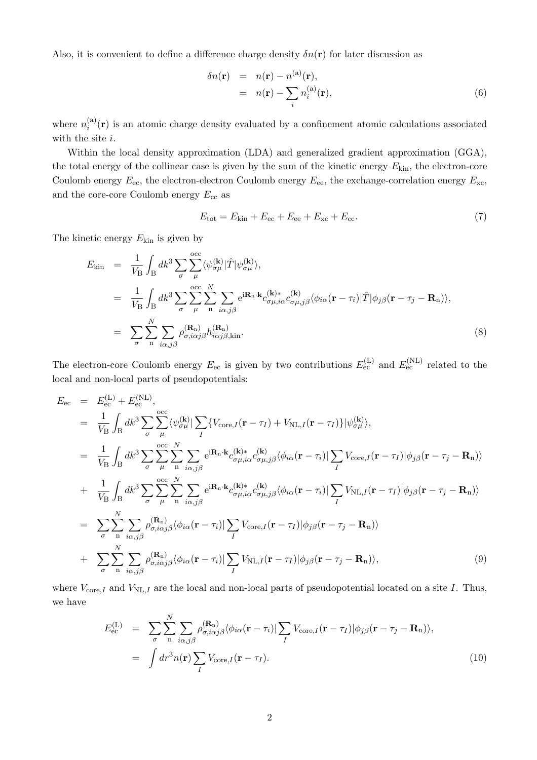Also, it is convenient to define a difference charge density  $\delta n(\mathbf{r})$  for later discussion as

$$
\delta n(\mathbf{r}) = n(\mathbf{r}) - n^{(a)}(\mathbf{r}),
$$
  
=  $n(\mathbf{r}) - \sum_{i} n_i^{(a)}(\mathbf{r}),$  (6)

where  $n_i^{(a)}$  $\binom{a}{i}(\mathbf{r})$  is an atomic charge density evaluated by a confinement atomic calculations associated with the site *i*.

Within the local density approximation (LDA) and generalized gradient approximation (GGA), the total energy of the collinear case is given by the sum of the kinetic energy *E*kin, the electron-core Coulomb energy  $E_{\text{ec}}$ , the electron-electron Coulomb energy  $E_{\text{ee}}$ , the exchange-correlation energy  $E_{\text{xc}}$ , and the core-core Coulomb energy  $E_{cc}$  as

$$
E_{\text{tot}} = E_{\text{kin}} + E_{\text{ec}} + E_{\text{ee}} + E_{\text{xc}} + E_{\text{cc}}.
$$
\n
$$
\tag{7}
$$

The kinetic energy *E*kin is given by

$$
E_{\rm kin} = \frac{1}{V_{\rm B}} \int_{\rm B} dk^3 \sum_{\sigma} \sum_{\mu}^{\rm occ} \langle \psi_{\sigma\mu}^{(\mathbf{k})} | \hat{T} | \psi_{\sigma\mu}^{(\mathbf{k})} \rangle,
$$
  
\n
$$
= \frac{1}{V_{\rm B}} \int_{\rm B} dk^3 \sum_{\sigma} \sum_{\mu}^{\rm occ} \sum_{\mu}^N \sum_{\substack{\alpha, \beta}}^N e^{i \mathbf{R}_n \cdot \mathbf{k}} c_{\sigma\mu, i\alpha}^{(\mathbf{k}) *} c_{\sigma\mu, j\beta}^{(\mathbf{k})} \langle \phi_{i\alpha}(\mathbf{r} - \tau_i) | \hat{T} | \phi_{j\beta}(\mathbf{r} - \tau_j - \mathbf{R}_n) \rangle,
$$
  
\n
$$
= \sum_{\sigma} \sum_{\substack{\alpha}^N} \sum_{i\alpha, j\beta} \rho_{\sigma, i\alpha j\beta}^{(\mathbf{R}_n)} h_{i\alpha j\beta, \text{kin}}^{(\mathbf{R}_n)}.
$$
 (8)

The electron-core Coulomb energy  $E_{ec}$  is given by two contributions  $E_{ec}^{(L)}$  and  $E_{ec}^{(NL)}$  related to the local and non-local parts of pseudopotentials:

$$
E_{\rm ec} = E_{\rm ec}^{(\rm L)} + E_{\rm ec}^{(\rm NL)},
$$
  
\n
$$
= \frac{1}{V_{\rm B}} \int_{\rm B} dk^3 \sum_{\sigma} \sum_{\mu}^{\rm occ} \langle \psi_{\sigma\mu}^{(\mathbf{k})} | \sum_{I} \{ V_{\rm core,I}(\mathbf{r} - \tau_{I}) + V_{\rm NL,I}(\mathbf{r} - \tau_{I}) \} | \psi_{\sigma\mu}^{(\mathbf{k})} \rangle,
$$
  
\n
$$
= \frac{1}{V_{\rm B}} \int_{\rm B} dk^3 \sum_{\sigma}^{\rm occ} \sum_{\mu}^N \sum_{\substack{\mathbf{n} \ i \alpha, j\beta}}^{\rm occ} e^{i \mathbf{R}_{\rm n} \cdot \mathbf{k}} c_{\sigma\mu, i\alpha}^{(\mathbf{k}) \cdot \mathbf{k}} c_{\sigma\mu, j\beta}^{(\mathbf{k})} \langle \phi_{i\alpha}(\mathbf{r} - \tau_{i}) | \sum_{I} V_{\rm core,I}(\mathbf{r} - \tau_{I}) | \phi_{j\beta}(\mathbf{r} - \tau_{j} - \mathbf{R}_{\rm n}) \rangle
$$
  
\n
$$
+ \frac{1}{V_{\rm B}} \int_{\rm B} dk^3 \sum_{\sigma}^{\rm occ} \sum_{\mu}^N \sum_{\substack{\mathbf{n} \ i \alpha, j\beta}}^{\rm occ} e^{i \mathbf{R}_{\rm n} \cdot \mathbf{k}} c_{\sigma\mu, i\alpha}^{(\mathbf{k}) \cdot \mathbf{k}} c_{\sigma\mu, j\beta}^{(\mathbf{k})} \langle \phi_{i\alpha}(\mathbf{r} - \tau_{i}) | \sum_{I} V_{\rm NL,I}(\mathbf{r} - \tau_{I}) | \phi_{j\beta}(\mathbf{r} - \tau_{j} - \mathbf{R}_{\rm n}) \rangle
$$
  
\n
$$
= \sum_{\sigma}^N \sum_{\substack{\mathbf{n} \ i \alpha, j\beta}}^N \rho_{\sigma, i\alpha j\beta}^{(\mathbf{R}_{\rm n})} \langle \phi_{i\alpha}(\mathbf{r} - \tau_{i}) | \sum_{I} V_{\rm core,I}(\mathbf{r} - \tau_{I}) | \phi_{j\beta}(\mathbf{r} - \tau_{j} - \mathbf{R}_{\rm n}) \rangle
$$
  
\n $$ 

where  $V_{\text{core},I}$  and  $V_{\text{NL},I}$  are the local and non-local parts of pseudopotential located on a site *I*. Thus, we have

$$
E_{\rm ec}^{(L)} = \sum_{\sigma} \sum_{n} \sum_{i\alpha,j\beta} \rho_{\sigma,i\alpha j\beta}^{(\mathbf{R}_{n})} \langle \phi_{i\alpha}(\mathbf{r} - \tau_{i}) | \sum_{I} V_{\rm core,I}(\mathbf{r} - \tau_{I}) | \phi_{j\beta}(\mathbf{r} - \tau_{j} - \mathbf{R}_{n}) \rangle,
$$
  
= 
$$
\int dr^{3} n(\mathbf{r}) \sum_{I} V_{\rm core,I}(\mathbf{r} - \tau_{I}). \qquad (10)
$$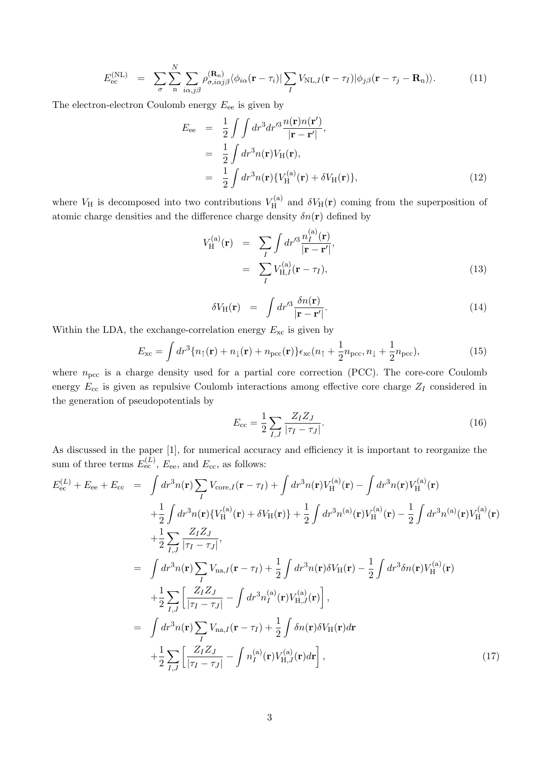$$
E_{\rm ec}^{\rm (NL)} = \sum_{\sigma} \sum_{\rm n} \sum_{i\alpha,j\beta} \rho_{\sigma,i\alpha j\beta}^{\rm (R_n)} \langle \phi_{i\alpha}(\mathbf{r} - \tau_i) | \sum_{I} V_{\rm NL,I}(\mathbf{r} - \tau_I) | \phi_{j\beta}(\mathbf{r} - \tau_j - \mathbf{R}_{\rm n}) \rangle. \tag{11}
$$

The electron-electron Coulomb energy  $E_{ee}$  is given by

$$
E_{ee} = \frac{1}{2} \int \int dr^3 dr'^3 \frac{n(\mathbf{r})n(\mathbf{r}')}{|\mathbf{r} - \mathbf{r}'|},
$$
  
\n
$$
= \frac{1}{2} \int dr^3 n(\mathbf{r}) V_H(\mathbf{r}),
$$
  
\n
$$
= \frac{1}{2} \int dr^3 n(\mathbf{r}) \{ V_H^{(a)}(\mathbf{r}) + \delta V_H(\mathbf{r}) \},
$$
  
\n(12)

where  $V_{\rm H}$  is decomposed into two contributions  $V_{\rm H}^{(a)}$  $\delta V_{\text{H}}(\mathbf{r})$  coming from the superposition of atomic charge densities and the difference charge density  $\delta n(\mathbf{r})$  defined by

$$
V_{\mathrm{H}}^{(\mathrm{a})}(\mathbf{r}) = \sum_{I} \int dr'^3 \frac{n_I^{(\mathrm{a})}(\mathbf{r})}{|\mathbf{r} - \mathbf{r}'|},
$$
  

$$
= \sum_{I} V_{\mathrm{H},I}^{(\mathrm{a})}(\mathbf{r} - \tau_I), \qquad (13)
$$

$$
\delta V_{\rm H}(\mathbf{r}) = \int dr'^3 \frac{\delta n(\mathbf{r})}{|\mathbf{r} - \mathbf{r}'|}.
$$
\n(14)

Within the LDA, the exchange-correlation energy  $E_{\text{xc}}$  is given by

$$
E_{\rm xc} = \int dr^3 \{ n_\uparrow(\mathbf{r}) + n_\downarrow(\mathbf{r}) + n_{\rm pec}(\mathbf{r}) \} \epsilon_{\rm xc}(n_\uparrow + \frac{1}{2} n_{\rm pec}, n_\downarrow + \frac{1}{2} n_{\rm pec}),\tag{15}
$$

where  $n_{\text{pcc}}$  is a charge density used for a partial core correction (PCC). The core-core Coulomb energy  $E_{cc}$  is given as repulsive Coulomb interactions among effective core charge  $Z_I$  considered in the generation of pseudopotentials by

$$
E_{\rm cc} = \frac{1}{2} \sum_{I,J} \frac{Z_I Z_J}{|\tau_I - \tau_J|}.
$$
\n(16)

As discussed in the paper [1], for numerical accuracy and efficiency it is important to reorganize the sum of three terms  $E_{\text{ec}}^{(L)}$ ,  $E_{\text{ee}}$ , and  $E_{\text{cc}}$ , as follows:

$$
E_{ec}^{(L)} + E_{ce} + E_{cc} = \int dr^3 n(\mathbf{r}) \sum_{I} V_{core,I}(\mathbf{r} - \tau_I) + \int dr^3 n(\mathbf{r}) V_{H}^{(a)}(\mathbf{r}) - \int dr^3 n(\mathbf{r}) V_{H}^{(a)}(\mathbf{r})
$$
  
+  $\frac{1}{2} \int dr^3 n(\mathbf{r}) \{ V_{H}^{(a)}(\mathbf{r}) + \delta V_{H}(\mathbf{r}) \} + \frac{1}{2} \int dr^3 n^{(a)}(\mathbf{r}) V_{H}^{(a)}(\mathbf{r}) - \frac{1}{2} \int dr^3 n^{(a)}(\mathbf{r}) V_{H}^{(a)}(\mathbf{r})$   
+  $\frac{1}{2} \sum_{I,J} \frac{Z_I Z_J}{|\tau_I - \tau_J|},$   
=  $\int dr^3 n(\mathbf{r}) \sum_{I} V_{na,I}(\mathbf{r} - \tau_I) + \frac{1}{2} \int dr^3 n(\mathbf{r}) \delta V_{H}(\mathbf{r}) - \frac{1}{2} \int dr^3 \delta n(\mathbf{r}) V_{H}^{(a)}(\mathbf{r})$   
+  $\frac{1}{2} \sum_{I,J} \left[ \frac{Z_I Z_J}{|\tau_I - \tau_J|} - \int dr^3 n_I^{(a)}(\mathbf{r}) V_{H,J}^{(a)}(\mathbf{r}) \right],$   
=  $\int dr^3 n(\mathbf{r}) \sum_{I} V_{na,I}(\mathbf{r} - \tau_I) + \frac{1}{2} \int \delta n(\mathbf{r}) \delta V_{H}(\mathbf{r}) d\mathbf{r}$   
+  $\frac{1}{2} \sum_{I,J} \left[ \frac{Z_I Z_J}{|\tau_I - \tau_J|} - \int n_I^{(a)}(\mathbf{r}) V_{H,J}^{(a)}(\mathbf{r}) d\mathbf{r} \right],$  (17)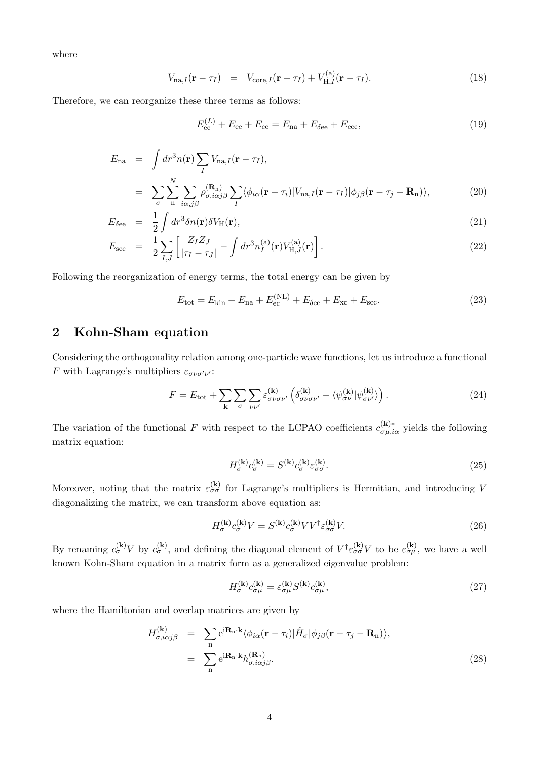where

$$
V_{\text{na},I}(\mathbf{r} - \tau_I) = V_{\text{core},I}(\mathbf{r} - \tau_I) + V_{\text{H},I}^{(a)}(\mathbf{r} - \tau_I). \tag{18}
$$

Therefore, we can reorganize these three terms as follows:

$$
E_{\rm ec}^{(L)} + E_{\rm ee} + E_{\rm cc} = E_{\rm na} + E_{\delta \rm ee} + E_{\rm ecc},\tag{19}
$$

$$
E_{\text{na}} = \int dr^3 n(\mathbf{r}) \sum_{I} V_{\text{na},I}(\mathbf{r} - \tau_I),
$$
  
= 
$$
\sum_{\sigma} \sum_{\mathbf{n}} \sum_{i\alpha,j\beta} \rho_{\sigma,i\alpha j\beta}^{(\mathbf{R}_{\text{n}})} \sum_{I} \langle \phi_{i\alpha}(\mathbf{r} - \tau_i) | V_{\text{na},I}(\mathbf{r} - \tau_I) | \phi_{j\beta}(\mathbf{r} - \tau_j - \mathbf{R}_{\text{n}}) \rangle,
$$
 (20)

$$
E_{\delta e e} = \frac{1}{2} \int dr^3 \delta n(\mathbf{r}) \delta V_{\rm H}(\mathbf{r}), \qquad (21)
$$

$$
E_{\rm sec} = \frac{1}{2} \sum_{I,J} \left[ \frac{Z_I Z_J}{|\tau_I - \tau_J|} - \int dr^3 n_I^{(a)}(\mathbf{r}) V_{\rm H,J}^{(a)}(\mathbf{r}) \right]. \tag{22}
$$

Following the reorganization of energy terms, the total energy can be given by

$$
E_{\text{tot}} = E_{\text{kin}} + E_{\text{na}} + E_{\text{ec}}^{(\text{NL})} + E_{\delta \text{ee}} + E_{\text{xc}} + E_{\text{scc}}.
$$
\n(23)

## **2 Kohn-Sham equation**

Considering the orthogonality relation among one-particle wave functions, let us introduce a functional *F* with Lagrange's multipliers  $\varepsilon_{\sigma\nu\sigma'\nu'}$ :

$$
F = E_{\text{tot}} + \sum_{\mathbf{k}} \sum_{\sigma} \sum_{\nu \nu'} \varepsilon_{\sigma \nu \sigma \nu'}^{(\mathbf{k})} \left( \delta_{\sigma \nu \sigma \nu'}^{(\mathbf{k})} - \langle \psi_{\sigma \nu}^{(\mathbf{k})} | \psi_{\sigma \nu'}^{(\mathbf{k})} \rangle \right). \tag{24}
$$

The variation of the functional *F* with respect to the LCPAO coefficients  $c_{\sigma\mu,i\alpha}^{(\mathbf{k})*}$  yields the following matrix equation:

$$
H_{\sigma}^{(\mathbf{k})} c_{\sigma}^{(\mathbf{k})} = S^{(\mathbf{k})} c_{\sigma}^{(\mathbf{k})} \varepsilon_{\sigma\sigma}^{(\mathbf{k})}.
$$
 (25)

Moreover, noting that the matrix  $\varepsilon_{\sigma\sigma}^{(k)}$  for Lagrange's multipliers is Hermitian, and introducing *V* diagonalizing the matrix, we can transform above equation as:

$$
H_{\sigma}^{(\mathbf{k})} c_{\sigma}^{(\mathbf{k})} V = S^{(\mathbf{k})} c_{\sigma}^{(\mathbf{k})} V V^{\dagger} \varepsilon_{\sigma\sigma}^{(\mathbf{k})} V. \tag{26}
$$

By renaming  $c_{\sigma}^{(\mathbf{k})}V$  by  $c_{\sigma}^{(\mathbf{k})}$ , and defining the diagonal element of  $V^{\dagger} \varepsilon_{\sigma\sigma}^{(\mathbf{k})}V$  to be  $\varepsilon_{\sigma\mu}^{(\mathbf{k})}$ , we have a well known Kohn-Sham equation in a matrix form as a generalized eigenvalue problem:

$$
H_{\sigma}^{(\mathbf{k})} c_{\sigma\mu}^{(\mathbf{k})} = \varepsilon_{\sigma\mu}^{(\mathbf{k})} S^{(\mathbf{k})} c_{\sigma\mu}^{(\mathbf{k})},\tag{27}
$$

where the Hamiltonian and overlap matrices are given by

$$
H_{\sigma,i\alpha j\beta}^{(\mathbf{k})} = \sum_{\mathbf{n}} e^{i\mathbf{R}_{\mathbf{n}} \cdot \mathbf{k}} \langle \phi_{i\alpha}(\mathbf{r} - \tau_i) | \hat{H}_{\sigma} | \phi_{j\beta}(\mathbf{r} - \tau_j - \mathbf{R}_{\mathbf{n}}) \rangle,
$$
  

$$
= \sum_{\mathbf{n}} e^{i\mathbf{R}_{\mathbf{n}} \cdot \mathbf{k}} h_{\sigma,i\alpha j\beta}^{(\mathbf{R}_{\mathbf{n}})}.
$$
(28)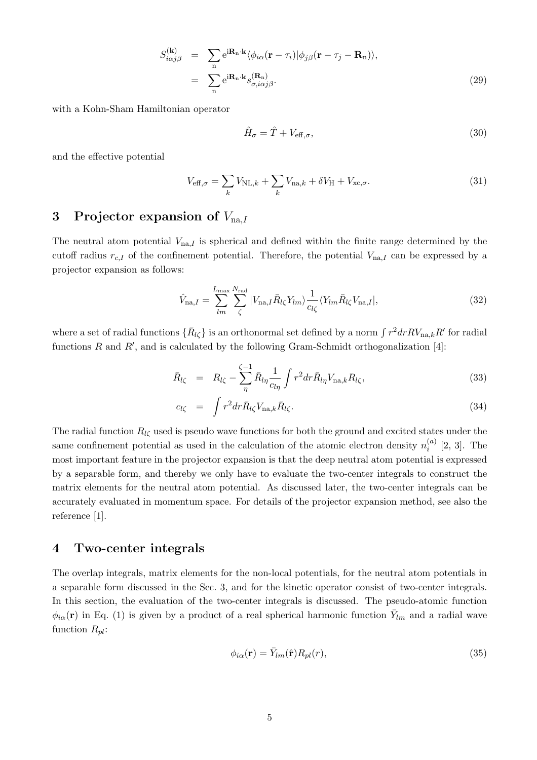$$
S_{i\alpha j\beta}^{(\mathbf{k})} = \sum_{\mathbf{n}} e^{i\mathbf{R}_{\mathbf{n}} \cdot \mathbf{k}} \langle \phi_{i\alpha} (\mathbf{r} - \tau_i) | \phi_{j\beta} (\mathbf{r} - \tau_j - \mathbf{R}_{\mathbf{n}}) \rangle,
$$
  

$$
= \sum_{\mathbf{n}} e^{i\mathbf{R}_{\mathbf{n}} \cdot \mathbf{k}} s_{\sigma, i\alpha j\beta}^{(\mathbf{R}_{\mathbf{n}})}.
$$
(29)

with a Kohn-Sham Hamiltonian operator

$$
\hat{H}_{\sigma} = \hat{T} + V_{\text{eff},\sigma},\tag{30}
$$

and the effective potential

$$
V_{\text{eff},\sigma} = \sum_{k} V_{\text{NL},k} + \sum_{k} V_{\text{na},k} + \delta V_{\text{H}} + V_{\text{xc},\sigma}.
$$
 (31)

# **3 Projector expansion of** *V*na*,I*

The neutral atom potential *V*na*,I* is spherical and defined within the finite range determined by the cutoff radius  $r_{c,I}$  of the confinement potential. Therefore, the potential  $V_{na,I}$  can be expressed by a projector expansion as follows:

$$
\hat{V}_{\text{na},I} = \sum_{lm}^{L_{\text{max}}} \sum_{\zeta}^{N_{\text{rad}}} |V_{\text{na},I} \bar{R}_{l\zeta} Y_{lm} \rangle \frac{1}{c_{l\zeta}} \langle Y_{lm} \bar{R}_{l\zeta} V_{\text{na},I} |, \qquad (32)
$$

where a set of radial functions  $\{\bar{R}_{l\zeta}\}$  is an orthonormal set defined by a norm  $\int r^2 dr RV_{\text{na},k}R'$  for radial functions *R* and *R′* , and is calculated by the following Gram-Schmidt orthogonalization [4]:

$$
\bar{R}_{l\zeta} = R_{l\zeta} - \sum_{\eta}^{\zeta - 1} \bar{R}_{l\eta} \frac{1}{c_{l\eta}} \int r^2 dr \bar{R}_{l\eta} V_{\text{na},k} R_{l\zeta}, \qquad (33)
$$

$$
c_{l\zeta} = \int r^2 dr \bar{R}_{l\zeta} V_{\text{na},k} \bar{R}_{l\zeta}.
$$
\n(34)

The radial function  $R_{l\zeta}$  used is pseudo wave functions for both the ground and excited states under the same confinement potential as used in the calculation of the atomic electron density  $n_i^{(a)}$  $i^{(a)}$  [2, 3]. The most important feature in the projector expansion is that the deep neutral atom potential is expressed by a separable form, and thereby we only have to evaluate the two-center integrals to construct the matrix elements for the neutral atom potential. As discussed later, the two-center integrals can be accurately evaluated in momentum space. For details of the projector expansion method, see also the reference [1].

### **4 Two-center integrals**

The overlap integrals, matrix elements for the non-local potentials, for the neutral atom potentials in a separable form discussed in the Sec. 3, and for the kinetic operator consist of two-center integrals. In this section, the evaluation of the two-center integrals is discussed. The pseudo-atomic function  $\phi_{i\alpha}(\mathbf{r})$  in Eq. (1) is given by a product of a real spherical harmonic function  $\bar{Y}_{lm}$  and a radial wave function *Rpl*:

$$
\phi_{i\alpha}(\mathbf{r}) = \bar{Y}_{lm}(\hat{\mathbf{r}}) R_{pl}(r),\tag{35}
$$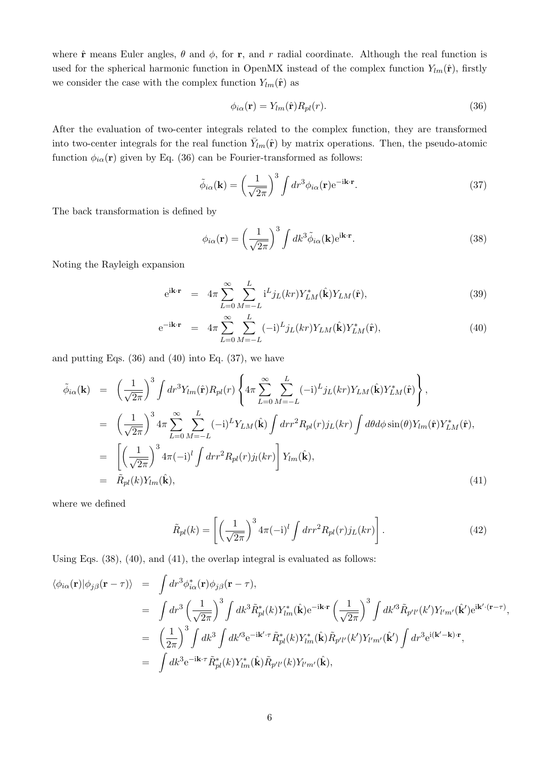where  $\hat{\bf{r}}$  means Euler angles,  $\theta$  and  $\phi$ , for **r**, and *r* radial coordinate. Although the real function is used for the spherical harmonic function in OpenMX instead of the complex function  $Y_{lm}(\hat{\mathbf{r}})$ , firstly we consider the case with the complex function  $Y_{lm}(\hat{\mathbf{r}})$  as

$$
\phi_{i\alpha}(\mathbf{r}) = Y_{lm}(\hat{\mathbf{r}})R_{pl}(r). \tag{36}
$$

After the evaluation of two-center integrals related to the complex function, they are transformed into two-center integrals for the real function  $\bar{Y}_{lm}(\hat{\bf r})$  by matrix operations. Then, the pseudo-atomic function  $\phi_{i\alpha}(\mathbf{r})$  given by Eq. (36) can be Fourier-transformed as follows:

$$
\tilde{\phi}_{i\alpha}(\mathbf{k}) = \left(\frac{1}{\sqrt{2\pi}}\right)^3 \int dr^3 \phi_{i\alpha}(\mathbf{r}) e^{-i\mathbf{k}\cdot\mathbf{r}}.
$$
\n(37)

The back transformation is defined by

$$
\phi_{i\alpha}(\mathbf{r}) = \left(\frac{1}{\sqrt{2\pi}}\right)^3 \int dk^3 \tilde{\phi}_{i\alpha}(\mathbf{k}) e^{i\mathbf{k}\cdot\mathbf{r}}.
$$
 (38)

Noting the Rayleigh expansion

$$
e^{i\mathbf{k}\cdot\mathbf{r}} = 4\pi \sum_{L=0}^{\infty} \sum_{M=-L}^{L} i^L j_L(kr) Y_{LM}^*(\hat{\mathbf{k}}) Y_{LM}(\hat{\mathbf{r}}), \qquad (39)
$$

$$
e^{-i\mathbf{k}\cdot\mathbf{r}} = 4\pi \sum_{L=0}^{\infty} \sum_{M=-L}^{L} (-i)^L j_L(kr) Y_{LM}(\hat{\mathbf{k}}) Y_{LM}^*(\hat{\mathbf{r}}), \qquad (40)
$$

and putting Eqs.  $(36)$  and  $(40)$  into Eq.  $(37)$ , we have

$$
\tilde{\phi}_{i\alpha}(\mathbf{k}) = \left(\frac{1}{\sqrt{2\pi}}\right)^3 \int dr^3 Y_{lm}(\hat{\mathbf{r}}) R_{pl}(r) \left\{ 4\pi \sum_{L=0}^{\infty} \sum_{M=-L}^{L} (-i)^L j_L(kr) Y_{LM}(\hat{\mathbf{k}}) Y_{LM}^*(\hat{\mathbf{r}}) \right\},
$$
\n
$$
= \left(\frac{1}{\sqrt{2\pi}}\right)^3 4\pi \sum_{L=0}^{\infty} \sum_{M=-L}^{L} (-i)^L Y_{LM}(\hat{\mathbf{k}}) \int dr r^2 R_{pl}(r) j_L(kr) \int d\theta d\phi \sin(\theta) Y_{lm}(\hat{\mathbf{r}}) Y_{LM}^*(\hat{\mathbf{r}}),
$$
\n
$$
= \left[ \left(\frac{1}{\sqrt{2\pi}}\right)^3 4\pi (-i)^l \int dr r^2 R_{pl}(r) j_l(kr) \right] Y_{lm}(\hat{\mathbf{k}}),
$$
\n
$$
= \tilde{R}_{pl}(k) Y_{lm}(\hat{\mathbf{k}}),
$$
\n(41)

where we defined

$$
\tilde{R}_{pl}(k) = \left[ \left( \frac{1}{\sqrt{2\pi}} \right)^3 4\pi (-i)^l \int dr r^2 R_{pl}(r) j_L(kr) \right]. \tag{42}
$$

Using Eqs.  $(38)$ ,  $(40)$ , and  $(41)$ , the overlap integral is evaluated as follows:

$$
\langle \phi_{i\alpha}(\mathbf{r}) | \phi_{j\beta}(\mathbf{r} - \tau) \rangle = \int dr^3 \phi_{i\alpha}^*(\mathbf{r}) \phi_{j\beta}(\mathbf{r} - \tau),
$$
  
\n
$$
= \int dr^3 \left(\frac{1}{\sqrt{2\pi}}\right)^3 \int dk^3 \tilde{R}_{pl}^*(k) Y_{lm}^*(\hat{\mathbf{k}}) e^{-i\mathbf{k}\cdot\mathbf{r}} \left(\frac{1}{\sqrt{2\pi}}\right)^3 \int dk'^3 \tilde{R}_{p'l'}(k') Y_{l'm'}(\hat{\mathbf{k}}') e^{i\mathbf{k'}\cdot(\mathbf{r}-\tau)},
$$
  
\n
$$
= \left(\frac{1}{2\pi}\right)^3 \int dk^3 \int dk'^3 e^{-i\mathbf{k'}\cdot\tau} \tilde{R}_{pl}^*(k) Y_{lm}^*(\hat{\mathbf{k}}) \tilde{R}_{p'l'}(k') Y_{l'm'}(\hat{\mathbf{k}}') \int dr^3 e^{i(\mathbf{k'}-\mathbf{k})\cdot\mathbf{r}},
$$
  
\n
$$
= \int dk^3 e^{-i\mathbf{k}\cdot\tau} \tilde{R}_{pl}^*(k) Y_{lm}^*(\hat{\mathbf{k}}) \tilde{R}_{p'l'}(k) Y_{l'm'}(\hat{\mathbf{k}}),
$$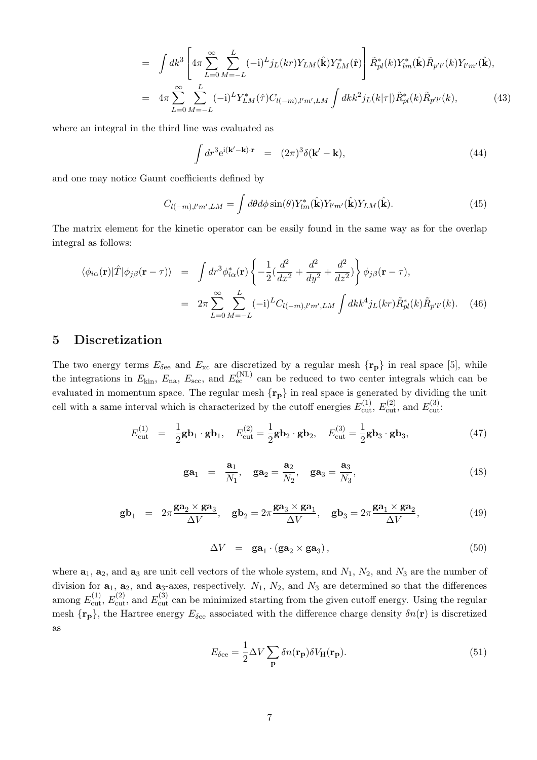$$
= \int dk^3 \left[ 4\pi \sum_{L=0}^{\infty} \sum_{M=-L}^{L} (-i)^L j_L(kr) Y_{LM}(\hat{\mathbf{k}}) Y_{LM}^*(\hat{\mathbf{r}}) \right] \tilde{R}_{pl}^*(k) Y_{lm}^*(\hat{\mathbf{k}}) \tilde{R}_{p'l'}(k) Y_{lm'}(\hat{\mathbf{k}}),
$$
  

$$
= 4\pi \sum_{L=0}^{\infty} \sum_{M=-L}^{L} (-i)^L Y_{LM}^*(\hat{\tau}) C_{l(-m),l'm',LM} \int dk k^2 j_L(k|\tau|) \tilde{R}_{pl}^*(k) \tilde{R}_{p'l'}(k), \qquad (43)
$$

where an integral in the third line was evaluated as

$$
\int dr^3 e^{i(\mathbf{k'} - \mathbf{k}) \cdot \mathbf{r}} = (2\pi)^3 \delta(\mathbf{k'} - \mathbf{k}), \tag{44}
$$

and one may notice Gaunt coefficients defined by

$$
C_{l(-m),l'm',LM} = \int d\theta d\phi \sin(\theta) Y_{lm}^*(\hat{\mathbf{k}}) Y_{l'm'}(\hat{\mathbf{k}}) Y_{LM}(\hat{\mathbf{k}}).
$$
 (45)

The matrix element for the kinetic operator can be easily found in the same way as for the overlap integral as follows:

$$
\langle \phi_{i\alpha}(\mathbf{r})|\hat{T}|\phi_{j\beta}(\mathbf{r}-\tau)\rangle = \int dr^3 \phi_{i\alpha}^*(\mathbf{r}) \left\{-\frac{1}{2}(\frac{d^2}{dx^2} + \frac{d^2}{dy^2} + \frac{d^2}{dz^2})\right\} \phi_{j\beta}(\mathbf{r}-\tau),
$$
  

$$
= 2\pi \sum_{L=0}^{\infty} \sum_{M=-L}^{L} (-i)^L C_{l(-m),l'm',LM} \int dk k^4 j_L(kr) \tilde{R}_{pl}^*(k) \tilde{R}_{p'l'}(k). \quad (46)
$$

### **5 Discretization**

The two energy terms  $E_{\delta$ <sup>e</sup> and  $E_{\text{xc}}$  are discretized by a regular mesh  $\{r_p\}$  in real space [5], while the integrations in  $E_{\text{kin}}$ ,  $E_{\text{na}}$ ,  $E_{\text{sec}}$ , and  $E_{\text{ec}}^{(\text{NL})}$  can be reduced to two center integrals which can be evaluated in momentum space. The regular mesh *{***rp***}* in real space is generated by dividing the unit cell with a same interval which is characterized by the cutoff energies  $E_{\text{cut}}^{(1)}$ ,  $E_{\text{cut}}^{(2)}$ , and  $E_{\text{cut}}^{(3)}$ .

$$
E_{\text{cut}}^{(1)} = \frac{1}{2} \mathbf{g} \mathbf{b}_1 \cdot \mathbf{g} \mathbf{b}_1, \quad E_{\text{cut}}^{(2)} = \frac{1}{2} \mathbf{g} \mathbf{b}_2 \cdot \mathbf{g} \mathbf{b}_2, \quad E_{\text{cut}}^{(3)} = \frac{1}{2} \mathbf{g} \mathbf{b}_3 \cdot \mathbf{g} \mathbf{b}_3,\tag{47}
$$

$$
\mathbf{ga}_1 = \frac{\mathbf{a}_1}{N_1}, \quad \mathbf{ga}_2 = \frac{\mathbf{a}_2}{N_2}, \quad \mathbf{ga}_3 = \frac{\mathbf{a}_3}{N_3}, \tag{48}
$$

$$
\mathbf{gb}_1 = 2\pi \frac{\mathbf{ga}_2 \times \mathbf{ga}_3}{\Delta V}, \quad \mathbf{gb}_2 = 2\pi \frac{\mathbf{ga}_3 \times \mathbf{ga}_1}{\Delta V}, \quad \mathbf{gb}_3 = 2\pi \frac{\mathbf{ga}_1 \times \mathbf{ga}_2}{\Delta V}, \tag{49}
$$

$$
\Delta V = \mathbf{ga}_1 \cdot (\mathbf{ga}_2 \times \mathbf{ga}_3), \tag{50}
$$

where  $\mathbf{a}_1$ ,  $\mathbf{a}_2$ , and  $\mathbf{a}_3$  are unit cell vectors of the whole system, and  $N_1$ ,  $N_2$ , and  $N_3$  are the number of division for  $\mathbf{a}_1$ ,  $\mathbf{a}_2$ , and  $\mathbf{a}_3$ -axes, respectively.  $N_1$ ,  $N_2$ , and  $N_3$  are determined so that the differences among  $E_{\text{cut}}^{(1)}$ ,  $E_{\text{cut}}^{(2)}$ , and  $E_{\text{cut}}^{(3)}$  can be minimized starting from the given cutoff energy. Using the regular mesh  $\{r_p\}$ , the Hartree energy  $E_{\delta$ ee associated with the difference charge density  $\delta n(\mathbf{r})$  is discretized as

$$
E_{\delta \text{ee}} = \frac{1}{2} \Delta V \sum_{\mathbf{p}} \delta n(\mathbf{r}_{\mathbf{p}}) \delta V_{\text{H}}(\mathbf{r}_{\mathbf{p}}).
$$
 (51)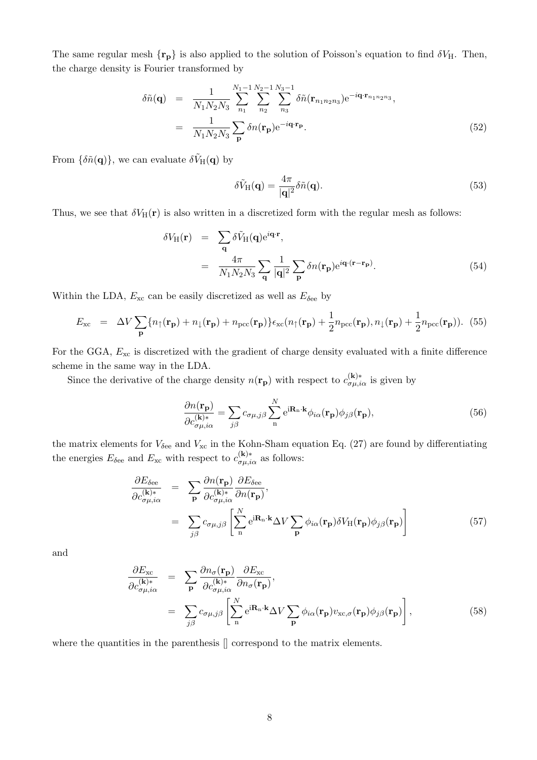The same regular mesh  $\{r_p\}$  is also applied to the solution of Poisson's equation to find  $\delta V_H$ . Then, the charge density is Fourier transformed by

$$
\delta\tilde{n}(\mathbf{q}) = \frac{1}{N_1 N_2 N_3} \sum_{n_1}^{N_1 - 1} \sum_{n_2}^{N_2 - 1} \sum_{n_3}^{N_3 - 1} \delta\tilde{n}(\mathbf{r}_{n_1 n_2 n_3}) e^{-i\mathbf{q} \cdot \mathbf{r}_{n_1 n_2 n_3}},
$$

$$
= \frac{1}{N_1 N_2 N_3} \sum_{\mathbf{p}} \delta n(\mathbf{r}_{\mathbf{p}}) e^{-i\mathbf{q} \cdot \mathbf{r}_{\mathbf{p}}}.
$$
(52)

From  $\{\delta \tilde{n}(\mathbf{q})\}$ , we can evaluate  $\delta \tilde{V}_{H}(\mathbf{q})$  by

$$
\delta \tilde{V}_{\rm H}(\mathbf{q}) = \frac{4\pi}{|\mathbf{q}|^2} \delta \tilde{n}(\mathbf{q}).\tag{53}
$$

Thus, we see that  $\delta V_H(\mathbf{r})$  is also written in a discretized form with the regular mesh as follows:

$$
\delta V_{\rm H}(\mathbf{r}) = \sum_{\mathbf{q}} \delta \tilde{V}_{\rm H}(\mathbf{q}) e^{i\mathbf{q} \cdot \mathbf{r}},
$$
  

$$
= \frac{4\pi}{N_1 N_2 N_3} \sum_{\mathbf{q}} \frac{1}{|\mathbf{q}|^2} \sum_{\mathbf{p}} \delta n(\mathbf{r}_{\mathbf{p}}) e^{i\mathbf{q} \cdot (\mathbf{r} - \mathbf{r}_{\mathbf{p}})}.
$$
(54)

Within the LDA,  $E_{\text{xc}}$  can be easily discretized as well as  $E_{\text{6e}}$  by

$$
E_{\rm xc} = \Delta V \sum_{\mathbf{p}} \{ n_{\uparrow}(\mathbf{r}_{\mathbf{p}}) + n_{\downarrow}(\mathbf{r}_{\mathbf{p}}) + n_{\rm pec}(\mathbf{r}_{\mathbf{p}}) \} \epsilon_{\rm xc}(n_{\uparrow}(\mathbf{r}_{\mathbf{p}}) + \frac{1}{2} n_{\rm pec}(\mathbf{r}_{\mathbf{p}}), n_{\downarrow}(\mathbf{r}_{\mathbf{p}}) + \frac{1}{2} n_{\rm pec}(\mathbf{r}_{\mathbf{p}})). \tag{55}
$$

For the GGA,  $E_{\text{xc}}$  is discretized with the gradient of charge density evaluated with a finite difference scheme in the same way in the LDA.

Since the derivative of the charge density  $n(\mathbf{r}_p)$  with respect to  $c_{\sigma\mu,i\alpha}^{(\mathbf{k})*}$  is given by

$$
\frac{\partial n(\mathbf{r}_\mathbf{p})}{\partial c_{\sigma\mu,i\alpha}^{(\mathbf{k})*}} = \sum_{j\beta} c_{\sigma\mu,j\beta} \sum_{\mathbf{n}}^{N} e^{i\mathbf{R}_{\mathbf{n}} \cdot \mathbf{k}} \phi_{i\alpha}(\mathbf{r}_\mathbf{p}) \phi_{j\beta}(\mathbf{r}_\mathbf{p}),\tag{56}
$$

the matrix elements for  $V_{\delta$ ee and  $V_{\rm xc}$  in the Kohn-Sham equation Eq. (27) are found by differentiating the energies  $E_{\delta$ <sup>e</sup> and  $E_{\rm xc}$  with respect to  $c_{\sigma\mu,i\alpha}^{(\mathbf{k})*}$  as follows:

$$
\frac{\partial E_{\delta e e}}{\partial c_{\sigma \mu, i\alpha}^{(\mathbf{k})*}} = \sum_{\mathbf{p}} \frac{\partial n(\mathbf{r}_{\mathbf{p}})}{\partial c_{\sigma \mu, i\alpha}^{(\mathbf{k})*}} \frac{\partial E_{\delta e e}}{\partial n(\mathbf{r}_{\mathbf{p}})},
$$
\n
$$
= \sum_{j\beta} c_{\sigma \mu, j\beta} \left[ \sum_{\mathbf{n}}^{N} e^{i \mathbf{R}_{\mathbf{n}}} \Delta V \sum_{\mathbf{p}} \phi_{i\alpha}(\mathbf{r}_{\mathbf{p}}) \delta V_{\mathbf{H}}(\mathbf{r}_{\mathbf{p}}) \phi_{j\beta}(\mathbf{r}_{\mathbf{p}}) \right]
$$
\n(57)

and

$$
\frac{\partial E_{\text{xc}}}{\partial c_{\sigma\mu,i\alpha}^{(\mathbf{k})*}} = \sum_{\mathbf{p}} \frac{\partial n_{\sigma}(\mathbf{r}_{\mathbf{p}})}{\partial c_{\sigma\mu,i\alpha}^{(\mathbf{k})*}} \frac{\partial E_{\text{xc}}}{\partial n_{\sigma}(\mathbf{r}_{\mathbf{p}})},
$$
\n
$$
= \sum_{j\beta} c_{\sigma\mu,j\beta} \left[ \sum_{\mathbf{n}}^{N} e^{i(\mathbf{R}_{\mathbf{n}} \cdot \mathbf{k}} \Delta V \sum_{\mathbf{p}} \phi_{i\alpha}(\mathbf{r}_{\mathbf{p}}) v_{\text{xc},\sigma}(\mathbf{r}_{\mathbf{p}}) \phi_{j\beta}(\mathbf{r}_{\mathbf{p}}) \right],
$$
\n(58)

where the quantities in the parenthesis  $\parallel$  correspond to the matrix elements.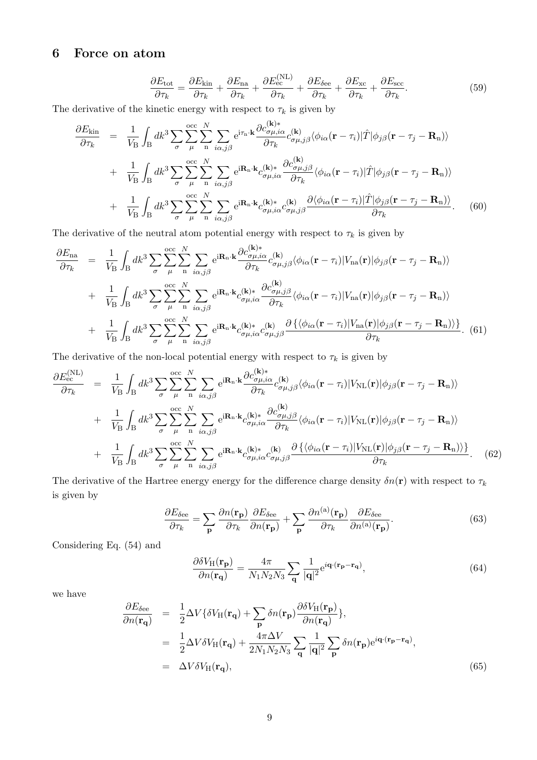## **6 Force on atom**

$$
\frac{\partial E_{\text{tot}}}{\partial \tau_k} = \frac{\partial E_{\text{kin}}}{\partial \tau_k} + \frac{\partial E_{\text{na}}}{\partial \tau_k} + \frac{\partial E_{\text{ec}}^{(\text{NL})}}{\partial \tau_k} + \frac{\partial E_{\text{see}}}{\partial \tau_k} + \frac{\partial E_{\text{xc}}}{\partial \tau_k} + \frac{\partial E_{\text{sec}}}{\partial \tau_k}.
$$
(59)

The derivative of the kinetic energy with respect to  $\tau_k$  is given by

$$
\frac{\partial E_{\text{kin}}}{\partial \tau_{k}} = \frac{1}{V_{\text{B}}} \int_{\text{B}} dk^{3} \sum_{\sigma} \sum_{\mu}^{\text{occ}} \sum_{n}^{N} \sum_{i\alpha,j\beta}^{\text{c}} e^{i\tau_{n}\cdot\mathbf{k}} \frac{\partial c_{\sigma\mu,i\alpha}^{(\mathbf{k})}}{\partial \tau_{k}} c_{\sigma\mu,j\beta}^{(\mathbf{k})} \langle \phi_{i\alpha}(\mathbf{r} - \tau_{i}) | \hat{T} | \phi_{j\beta}(\mathbf{r} - \tau_{j} - \mathbf{R}_{n}) \rangle \n+ \frac{1}{V_{\text{B}}} \int_{\text{B}} dk^{3} \sum_{\sigma} \sum_{\mu}^{\text{occ}} \sum_{n}^{N} \sum_{i\alpha,j\beta}^{\text{c}} e^{i\mathbf{R}_{n}\cdot\mathbf{k}} c_{\sigma\mu,i\alpha}^{(\mathbf{k})*} \frac{\partial c_{\sigma\mu,j\beta}^{(\mathbf{k})}}{\partial \tau_{k}} \langle \phi_{i\alpha}(\mathbf{r} - \tau_{i}) | \hat{T} | \phi_{j\beta}(\mathbf{r} - \tau_{j} - \mathbf{R}_{n}) \rangle \n+ \frac{1}{V_{\text{B}}} \int_{\text{B}} dk^{3} \sum_{\sigma} \sum_{\mu}^{\text{occ}} \sum_{n}^{\text{N}} \sum_{i\alpha,j\beta}^{\text{c}} e^{i\mathbf{R}_{n}\cdot\mathbf{k}} c_{\sigma\mu,i\alpha}^{(\mathbf{k})*} c_{\sigma\mu,j\beta}^{(\mathbf{k})} \frac{\partial \langle \phi_{i\alpha}(\mathbf{r} - \tau_{i}) | \hat{T} | \phi_{j\beta}(\mathbf{r} - \tau_{j} - \mathbf{R}_{n}) \rangle}{\partial \tau_{k}}.
$$
\n(60)

The derivative of the neutral atom potential energy with respect to  $\tau_k$  is given by

$$
\frac{\partial E_{\text{na}}}{\partial \tau_{k}} = \frac{1}{V_{\text{B}}} \int_{\text{B}} dk^{3} \sum_{\sigma} \sum_{\mu}^{\text{occ}} \sum_{n}^{N} \sum_{i\alpha,j\beta} e^{i\mathbf{R}_{n}\cdot\mathbf{k}} \frac{\partial c_{\sigma\mu,i\alpha}^{(\mathbf{k})}}{\partial \tau_{k}} c_{\sigma\mu,j\beta}^{(\mathbf{k})} \langle \phi_{i\alpha}(\mathbf{r} - \tau_{i}) | V_{\text{na}}(\mathbf{r}) | \phi_{j\beta}(\mathbf{r} - \tau_{j} - \mathbf{R}_{n}) \rangle \n+ \frac{1}{V_{\text{B}}} \int_{\text{B}} dk^{3} \sum_{\sigma} \sum_{\mu}^{\text{occ}} \sum_{n}^{\text{N}} \sum_{i\alpha,j\beta} e^{i\mathbf{R}_{n}\cdot\mathbf{k}} c_{\sigma\mu,i\alpha}^{(\mathbf{k})} \frac{\partial c_{\sigma\mu,j\beta}^{(\mathbf{k})}}{\partial \tau_{k}} \langle \phi_{i\alpha}(\mathbf{r} - \tau_{i}) | V_{\text{na}}(\mathbf{r}) | \phi_{j\beta}(\mathbf{r} - \tau_{j} - \mathbf{R}_{n}) \rangle \n+ \frac{1}{V_{\text{B}}} \int_{\text{B}} dk^{3} \sum_{\sigma} \sum_{\mu}^{\text{occ}} \sum_{n}^{\text{N}} \sum_{i\alpha,j\beta} e^{i\mathbf{R}_{n}\cdot\mathbf{k}} c_{\sigma\mu,i\alpha}^{(\mathbf{k})} c_{\sigma\mu,j\beta}^{(\mathbf{k})} \frac{\partial \{\langle \phi_{i\alpha}(\mathbf{r} - \tau_{i}) | V_{\text{na}}(\mathbf{r}) | \phi_{j\beta}(\mathbf{r} - \tau_{j} - \mathbf{R}_{n}) \rangle\}}{\partial \tau_{k}}. (61)
$$

The derivative of the non-local potential energy with respect to  $\tau_k$  is given by

$$
\frac{\partial E_{\text{ec}}^{(\text{NL})}}{\partial \tau_k} = \frac{1}{V_\text{B}} \int_\text{B} dk^3 \sum_{\sigma} \sum_{\mu} \sum_{n} \sum_{i\alpha,j\beta} e^{i\mathbf{R}_n \cdot \mathbf{k}} \frac{\partial c_{\sigma\mu,i\alpha}^{(\mathbf{k})*}}{\partial \tau_k} c_{\sigma\mu,j\beta}^{(\mathbf{k})} \langle \phi_{i\alpha}(\mathbf{r} - \tau_i) | V_{\text{NL}}(\mathbf{r}) | \phi_{j\beta}(\mathbf{r} - \tau_j - \mathbf{R}_n) \rangle \n+ \frac{1}{V_\text{B}} \int_\text{B} dk^3 \sum_{\sigma} \sum_{\mu} \sum_{n} \sum_{i\alpha,j\beta} e^{i\mathbf{R}_n \cdot \mathbf{k}} c_{\sigma\mu,i\alpha}^{(\mathbf{k})*} \frac{\partial c_{\sigma\mu,j\beta}^{(\mathbf{k})}}{\partial \tau_k} \langle \phi_{i\alpha}(\mathbf{r} - \tau_i) | V_{\text{NL}}(\mathbf{r}) | \phi_{j\beta}(\mathbf{r} - \tau_j - \mathbf{R}_n) \rangle \n+ \frac{1}{V_\text{B}} \int_\text{B} dk^3 \sum_{\sigma} \sum_{\mu} \sum_{n} \sum_{i\alpha,j\beta} e^{i\mathbf{R}_n \cdot \mathbf{k}} c_{\sigma\mu,i\alpha}^{(\mathbf{k})*} c_{\sigma\mu,i\beta}^{(\mathbf{k})} \frac{\partial \{\langle \phi_{i\alpha}(\mathbf{r} - \tau_i) | V_{\text{NL}}(\mathbf{r}) | \phi_{j\beta}(\mathbf{r} - \tau_j - \mathbf{R}_n) \rangle\}}{\partial \tau_k}
$$
\n(62)

The derivative of the Hartree energy energy for the difference charge density  $\delta n(\mathbf{r})$  with respect to  $\tau_k$ is given by

$$
\frac{\partial E_{\delta \text{ee}}}{\partial \tau_k} = \sum_{\mathbf{p}} \frac{\partial n(\mathbf{r}_{\mathbf{p}})}{\partial \tau_k} \frac{\partial E_{\delta \text{ee}}}{\partial n(\mathbf{r}_{\mathbf{p}})} + \sum_{\mathbf{p}} \frac{\partial n^{(a)}(\mathbf{r}_{\mathbf{p}})}{\partial \tau_k} \frac{\partial E_{\delta \text{ee}}}{\partial n^{(a)}(\mathbf{r}_{\mathbf{p}})}.
$$
(63)

Considering Eq. (54) and

$$
\frac{\partial \delta V_{\rm H}(\mathbf{r}_{\mathbf{p}})}{\partial n(\mathbf{r}_{\mathbf{q}})} = \frac{4\pi}{N_1 N_2 N_3} \sum_{\mathbf{q}} \frac{1}{|\mathbf{q}|^2} e^{i\mathbf{q} \cdot (\mathbf{r}_{\mathbf{p}} - \mathbf{r}_{\mathbf{q}})},\tag{64}
$$

we have

$$
\frac{\partial E_{\delta \text{ee}}}{\partial n(\mathbf{r}_{\mathbf{q}})} = \frac{1}{2} \Delta V \{ \delta V_{\text{H}}(\mathbf{r}_{\mathbf{q}}) + \sum_{\mathbf{p}} \delta n(\mathbf{r}_{\mathbf{p}}) \frac{\partial \delta V_{\text{H}}(\mathbf{r}_{\mathbf{p}})}{\partial n(\mathbf{r}_{\mathbf{q}})} \},
$$
\n
$$
= \frac{1}{2} \Delta V \delta V_{\text{H}}(\mathbf{r}_{\mathbf{q}}) + \frac{4\pi \Delta V}{2N_1 N_2 N_3} \sum_{\mathbf{q}} \frac{1}{|\mathbf{q}|^2} \sum_{\mathbf{p}} \delta n(\mathbf{r}_{\mathbf{p}}) e^{i\mathbf{q} \cdot (\mathbf{r}_{\mathbf{p}} - \mathbf{r}_{\mathbf{q}})},
$$
\n
$$
= \Delta V \delta V_{\text{H}}(\mathbf{r}_{\mathbf{q}}),
$$
\n(65)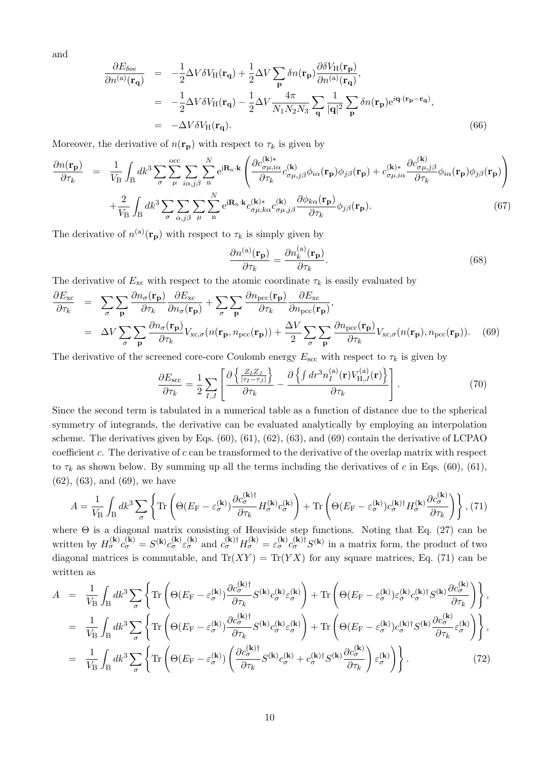and

$$
\frac{\partial E_{\delta \text{ee}}}{\partial n^{(a)}(\mathbf{r}_{\mathbf{q}})} = -\frac{1}{2} \Delta V \delta V_{\text{H}}(\mathbf{r}_{\mathbf{q}}) + \frac{1}{2} \Delta V \sum_{\mathbf{p}} \delta n(\mathbf{r}_{\mathbf{p}}) \frac{\partial \delta V_{\text{H}}(\mathbf{r}_{\mathbf{p}})}{\partial n^{(a)}(\mathbf{r}_{\mathbf{q}})},
$$
\n
$$
= -\frac{1}{2} \Delta V \delta V_{\text{H}}(\mathbf{r}_{\mathbf{q}}) - \frac{1}{2} \Delta V \frac{4\pi}{N_1 N_2 N_3} \sum_{\mathbf{q}} \frac{1}{|\mathbf{q}|^2} \sum_{\mathbf{p}} \delta n(\mathbf{r}_{\mathbf{p}}) e^{i\mathbf{q} \cdot (\mathbf{r}_{\mathbf{p}} - \mathbf{r}_{\mathbf{q}})},
$$
\n
$$
= -\Delta V \delta V_{\text{H}}(\mathbf{r}_{\mathbf{q}}).
$$
\n(66)

Moreover, the derivative of  $n(\mathbf{r}_p)$  with respect to  $\tau_k$  is given by

$$
\frac{\partial n(\mathbf{r}_{\mathbf{p}})}{\partial \tau_{k}} = \frac{1}{V_{\mathbf{B}}} \int_{\mathbf{B}} dk^{3} \sum_{\sigma} \sum_{\mu} \sum_{i\alpha,j\beta}^{occ} \sum_{n} \sum_{\mathbf{p}}^{N} e^{i\mathbf{R}_{n}\cdot\mathbf{k}} \left( \frac{\partial c_{\sigma\mu,i\alpha}^{(\mathbf{k})}}{\partial \tau_{k}} c_{\sigma\mu,j\beta}^{(\mathbf{k})} \phi_{i\alpha}(\mathbf{r}_{\mathbf{p}}) \phi_{j\beta}(\mathbf{r}_{\mathbf{p}}) + c_{\sigma\mu,i\alpha}^{(\mathbf{k})} \frac{\partial c_{\sigma\mu,j\beta}^{(\mathbf{k})}}{\partial \tau_{k}} \phi_{i\alpha}(\mathbf{r}_{\mathbf{p}}) \phi_{j\beta}(\mathbf{r}_{\mathbf{p}}) \right) + \frac{2}{V_{\mathbf{B}}} \int_{\mathbf{B}} dk^{3} \sum_{\sigma} \sum_{\alpha,j\beta} \sum_{\mu} \sum_{n}^{N} e^{i\mathbf{R}_{n}\cdot\mathbf{k}} c_{\sigma\mu,k\alpha}^{(\mathbf{k})*} c_{\sigma\mu,j\beta}^{(\mathbf{k})} \frac{\partial \phi_{k\alpha}(\mathbf{r}_{\mathbf{p}})}{\partial \tau_{k}} \phi_{j\beta}(\mathbf{r}_{\mathbf{p}}). \tag{67}
$$

The derivative of  $n^{(a)}(\mathbf{r}_p)$  with respect to  $\tau_k$  is simply given by

$$
\frac{\partial n^{(\mathrm{a})}(\mathbf{r}_{\mathbf{p}})}{\partial \tau_k} = \frac{\partial n_k^{(\mathrm{a})}(\mathbf{r}_{\mathbf{p}})}{\partial \tau_k}.
$$
\n(68)

The derivative of  $E_{\text{xc}}$  with respect to the atomic coordinate  $\tau_k$  is easily evaluated by

$$
\frac{\partial E_{\rm xc}}{\partial \tau_k} = \sum_{\sigma} \sum_{\bf p} \frac{\partial n_{\sigma}(\mathbf{r}_{\bf p})}{\partial \tau_k} \frac{\partial E_{\rm xc}}{\partial n_{\sigma}(\mathbf{r}_{\bf p})} + \sum_{\sigma} \sum_{\bf p} \frac{\partial n_{\rm pec}(\mathbf{r}_{\bf p})}{\partial \tau_k} \frac{\partial E_{\rm xc}}{\partial n_{\rm pec}(\mathbf{r}_{\bf p})},
$$
\n
$$
= \Delta V \sum_{\sigma} \sum_{\bf p} \frac{\partial n_{\sigma}(\mathbf{r}_{\bf p})}{\partial \tau_k} V_{\rm xc,\sigma}(n(\mathbf{r}_{\bf p}, n_{\rm pec}(\mathbf{r}_{\bf p})) + \frac{\Delta V}{2} \sum_{\sigma} \sum_{\bf p} \frac{\partial n_{\rm pec}(\mathbf{r}_{\bf p})}{\partial \tau_k} V_{\rm xc,\sigma}(n(\mathbf{r}_{\bf p}), n_{\rm pec}(\mathbf{r}_{\bf p})). \tag{69}
$$

The derivative of the screened core-core Coulomb energy  $E_{\rm sec}$  with respect to  $\tau_k$  is given by

$$
\frac{\partial E_{\rm sec}}{\partial \tau_k} = \frac{1}{2} \sum_{I,J} \left[ \frac{\partial \left\{ \frac{Z_I Z_J}{|\tau_I - \tau_J|} \right\}}{\partial \tau_k} - \frac{\partial \left\{ \int dr^3 n_I^{(\rm a)}(\mathbf{r}) V_{\rm H,J}^{(\rm a)}(\mathbf{r}) \right\}}{\partial \tau_k} \right]. \tag{70}
$$

Since the second term is tabulated in a numerical table as a function of distance due to the spherical symmetry of integrands, the derivative can be evaluated analytically by employing an interpolation scheme. The derivatives given by Eqs. (60), (61), (62), (63), and (69) contain the derivative of LCPAO coefficient *c*. The derivative of *c* can be transformed to the derivative of the overlap matrix with respect to  $\tau_k$  as shown below. By summing up all the terms including the derivatives of c in Eqs. (60), (61), (62), (63), and (69), we have

$$
A = \frac{1}{V_{\rm B}} \int_{\rm B} dk^3 \sum_{\sigma} \left\{ \text{Tr} \left( \Theta (E_{\rm F} - \varepsilon_{\sigma}^{(\mathbf{k})}) \frac{\partial c_{\sigma}^{(\mathbf{k}) \dagger}}{\partial \tau_k} H_{\sigma}^{(\mathbf{k})} c_{\sigma}^{(\mathbf{k})} \right) + \text{Tr} \left( \Theta (E_{\rm F} - \varepsilon_{\sigma}^{(\mathbf{k})}) c_{\sigma}^{(\mathbf{k}) \dagger} H_{\sigma}^{(\mathbf{k})} \frac{\partial c_{\sigma}^{(\mathbf{k})}}{\partial \tau_k} \right) \right\}, \tag{71}
$$

where  $\Theta$  is a diagonal matrix consisting of Heaviside step functions. Noting that Eq. (27) can be written by  $H_{\sigma}^{(\mathbf{k})} c_{\sigma}^{(\mathbf{k})} = S^{(\mathbf{k})} c_{\sigma}^{(\mathbf{k})} \varepsilon_{\sigma}^{(\mathbf{k})}$  and  $c_{\sigma}^{(\mathbf{k}) \dagger} H_{\sigma}^{(\mathbf{k})} = \varepsilon_{\sigma}^{(\mathbf{k})} c_{\sigma}^{(\mathbf{k}) \dagger} S^{(\mathbf{k})}$  in a matrix form, the product of two diagonal matrices is commutable, and  $Tr(XY) = Tr(YX)$  for any square matrices, Eq. (71) can be written as

$$
A = \frac{1}{V_{\rm B}} \int_{\rm B} dk^3 \sum_{\sigma} \left\{ \text{Tr} \left( \Theta(E_{\rm F} - \varepsilon_{\sigma}^{(\mathbf{k})}) \frac{\partial c_{\sigma}^{(\mathbf{k})\dagger}}{\partial \tau_k} S^{(\mathbf{k})} c_{\sigma}^{(\mathbf{k})} \varepsilon_{\sigma}^{(\mathbf{k})} \right) + \text{Tr} \left( \Theta(E_{\rm F} - \varepsilon_{\sigma}^{(\mathbf{k})}) \varepsilon_{\sigma}^{(\mathbf{k})} c_{\sigma}^{(\mathbf{k})\dagger} S^{(\mathbf{k})} \frac{\partial c_{\sigma}^{(\mathbf{k})}}{\partial \tau_k} \right) \right\},
$$
  
\n
$$
= \frac{1}{V_{\rm B}} \int_{\rm B} dk^3 \sum_{\sigma} \left\{ \text{Tr} \left( \Theta(E_{\rm F} - \varepsilon_{\sigma}^{(\mathbf{k})}) \frac{\partial c_{\sigma}^{(\mathbf{k})\dagger}}{\partial \tau_k} S^{(\mathbf{k})} c_{\sigma}^{(\mathbf{k})} \varepsilon_{\sigma}^{(\mathbf{k})} \right) + \text{Tr} \left( \Theta(E_{\rm F} - \varepsilon_{\sigma}^{(\mathbf{k})}) c_{\sigma}^{(\mathbf{k})\dagger} S^{(\mathbf{k})} \frac{\partial c_{\sigma}^{(\mathbf{k})}}{\partial \tau_k} \varepsilon_{\sigma}^{(\mathbf{k})} \right) \right\},
$$
  
\n
$$
= \frac{1}{V_{\rm B}} \int_{\rm B} dk^3 \sum_{\sigma} \left\{ \text{Tr} \left( \Theta(E_{\rm F} - \varepsilon_{\sigma}^{(\mathbf{k})}) \left( \frac{\partial c_{\sigma}^{(\mathbf{k})\dagger}}{\partial \tau_k} S^{(\mathbf{k})} c_{\sigma}^{(\mathbf{k})} + c_{\sigma}^{(\mathbf{k})\dagger} S^{(\mathbf{k})} \frac{\partial c_{\sigma}^{(\mathbf{k})}}{\partial \tau_k} \right) \varepsilon_{\sigma}^{(\mathbf{k})} \right) \right\}. \tag{72}
$$